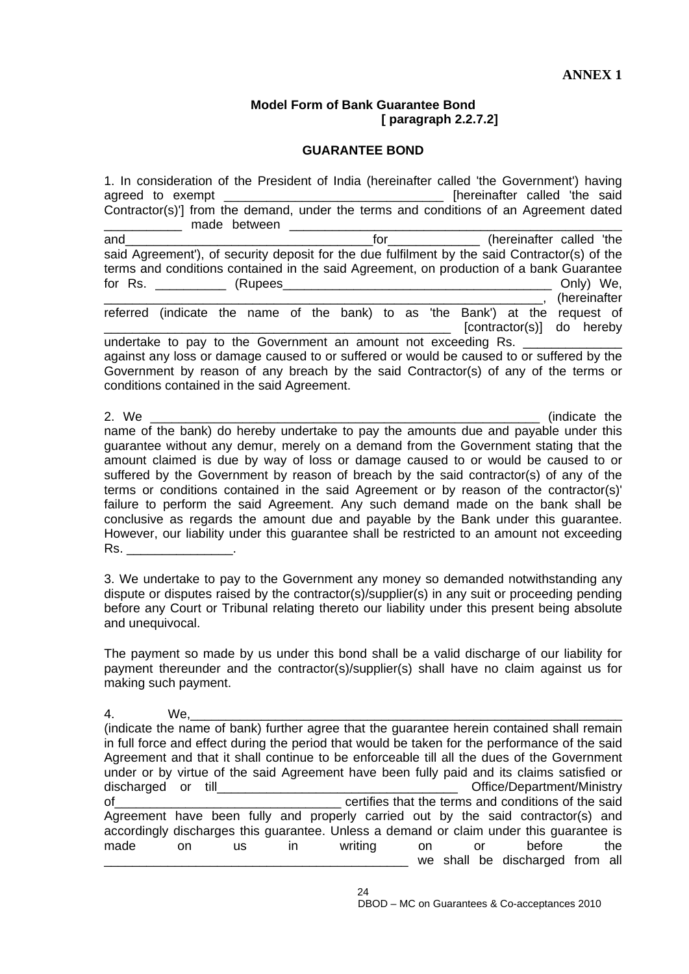## **Model Form of Bank Guarantee Bond [ paragraph 2.2.7.2]**

## **GUARANTEE BOND**

1. In consideration of the President of India (hereinafter called 'the Government') having agreed to exempt \_\_\_\_\_\_\_\_\_\_\_\_\_\_\_\_\_\_\_\_\_\_\_\_\_\_\_\_\_\_\_\_\_\_\_ [hereinafter called 'the said Contractor(s)'] from the demand, under the terms and conditions of an Agreement dated made between **made** and the manual and and the contract of the contract of the contract of the contract of the called 'the and the contract of the contract of the contract of the contract of the contract of the contract of the contract of the contract of th said Agreement'), of security deposit for the due fulfilment by the said Contractor(s) of the terms and conditions contained in the said Agreement, on production of a bank Guarantee for Rs. \_\_\_\_\_\_\_\_\_\_ (Rupees\_\_\_\_\_\_\_\_\_\_\_\_\_\_\_\_\_\_\_\_\_\_\_\_\_\_\_\_\_\_\_\_\_\_\_\_\_\_ Only) We, \_\_\_\_\_\_\_\_\_\_\_\_\_\_\_\_\_\_\_\_\_\_\_\_\_\_\_\_\_\_\_\_\_\_\_\_\_\_\_\_\_\_\_\_\_\_\_\_\_\_\_\_\_\_\_\_\_\_\_\_\_\_, (hereinafter referred (indicate the name of the bank) to as 'the Bank') at the request of [contractor(s)] do hereby undertake to pay to the Government an amount not exceeding Rs. against any loss or damage caused to or suffered or would be caused to or suffered by the Government by reason of any breach by the said Contractor(s) of any of the terms or conditions contained in the said Agreement. 2. We are the contract of the contract of the contract of the contract of the contract of the contract of the contract of the contract of the contract of the contract of the contract of the contract of the contract of the name of the bank) do hereby undertake to pay the amounts due and payable under this guarantee without any demur, merely on a demand from the Government stating that the

amount claimed is due by way of loss or damage caused to or would be caused to or suffered by the Government by reason of breach by the said contractor(s) of any of the terms or conditions contained in the said Agreement or by reason of the contractor(s)' failure to perform the said Agreement. Any such demand made on the bank shall be conclusive as regards the amount due and payable by the Bank under this guarantee. However, our liability under this guarantee shall be restricted to an amount not exceeding Rs. \_\_\_\_\_\_\_\_\_\_\_\_\_\_\_.

3. We undertake to pay to the Government any money so demanded notwithstanding any dispute or disputes raised by the contractor(s)/supplier(s) in any suit or proceeding pending before any Court or Tribunal relating thereto our liability under this present being absolute and unequivocal.

The payment so made by us under this bond shall be a valid discharge of our liability for payment thereunder and the contractor(s)/supplier(s) shall have no claim against us for making such payment.

4. We,\_\_\_\_\_\_\_\_\_\_\_\_\_\_\_\_\_\_\_\_\_\_\_\_\_\_\_\_\_\_\_\_\_\_\_\_\_\_\_\_\_\_\_\_\_\_\_\_\_\_\_\_\_\_\_\_\_\_\_\_\_ (indicate the name of bank) further agree that the guarantee herein contained shall remain in full force and effect during the period that would be taken for the performance of the said Agreement and that it shall continue to be enforceable till all the dues of the Government under or by virtue of the said Agreement have been fully paid and its claims satisfied or discharged or till **discharged** or till of the said of the said conditions of the said Agreement have been fully and properly carried out by the said contractor(s) and accordingly discharges this guarantee. Unless a demand or claim under this guarantee is made on us in writing on or before the we shall be discharged from all